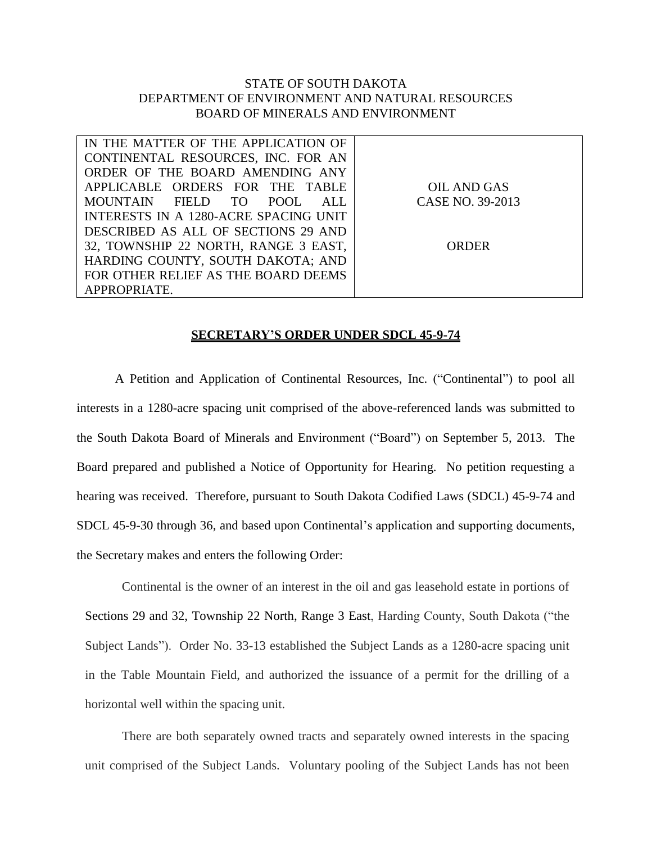## STATE OF SOUTH DAKOTA DEPARTMENT OF ENVIRONMENT AND NATURAL RESOURCES BOARD OF MINERALS AND ENVIRONMENT

| IN THE MATTER OF THE APPLICATION OF   |                  |
|---------------------------------------|------------------|
| CONTINENTAL RESOURCES, INC. FOR AN    |                  |
| ORDER OF THE BOARD AMENDING ANY       |                  |
| APPLICABLE ORDERS FOR THE TABLE       | OIL AND GAS      |
| MOUNTAIN FIELD TO<br>POOL.<br>ALL.    | CASE NO. 39-2013 |
| INTERESTS IN A 1280-ACRE SPACING UNIT |                  |
| DESCRIBED AS ALL OF SECTIONS 29 AND   |                  |
| 32, TOWNSHIP 22 NORTH, RANGE 3 EAST,  | ORDER            |
| HARDING COUNTY, SOUTH DAKOTA; AND     |                  |
| FOR OTHER RELIEF AS THE BOARD DEEMS   |                  |
| APPROPRIATE.                          |                  |

## **SECRETARY'S ORDER UNDER SDCL 45-9-74**

A Petition and Application of Continental Resources, Inc. ("Continental") to pool all interests in a 1280-acre spacing unit comprised of the above-referenced lands was submitted to the South Dakota Board of Minerals and Environment ("Board") on September 5, 2013. The Board prepared and published a Notice of Opportunity for Hearing. No petition requesting a hearing was received. Therefore, pursuant to South Dakota Codified Laws (SDCL) 45-9-74 and SDCL 45-9-30 through 36, and based upon Continental's application and supporting documents, the Secretary makes and enters the following Order:

Continental is the owner of an interest in the oil and gas leasehold estate in portions of Sections 29 and 32, Township 22 North, Range 3 East, Harding County, South Dakota ("the Subject Lands"). Order No. 33-13 established the Subject Lands as a 1280-acre spacing unit in the Table Mountain Field, and authorized the issuance of a permit for the drilling of a horizontal well within the spacing unit.

There are both separately owned tracts and separately owned interests in the spacing unit comprised of the Subject Lands. Voluntary pooling of the Subject Lands has not been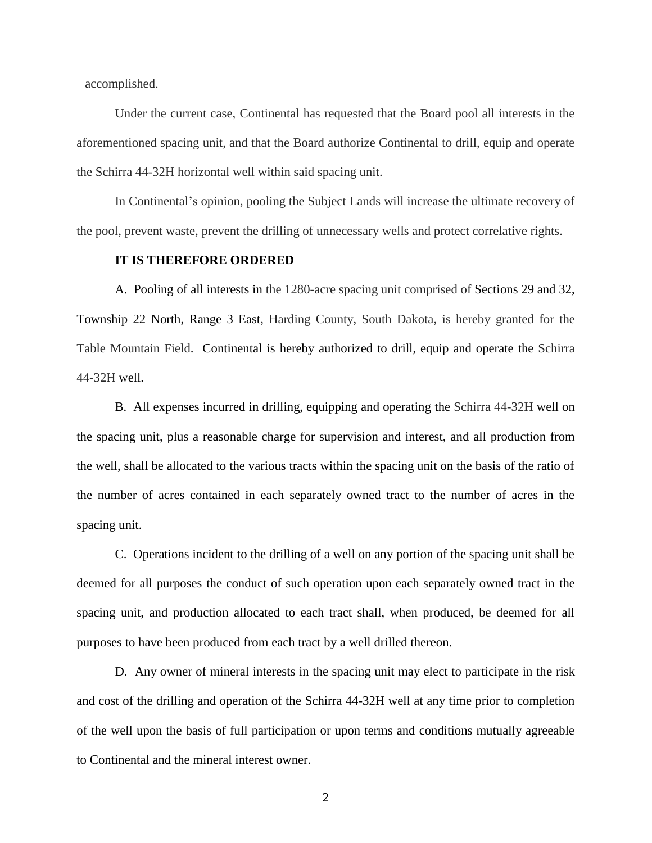accomplished.

Under the current case, Continental has requested that the Board pool all interests in the aforementioned spacing unit, and that the Board authorize Continental to drill, equip and operate the Schirra 44-32H horizontal well within said spacing unit.

In Continental's opinion, pooling the Subject Lands will increase the ultimate recovery of the pool, prevent waste, prevent the drilling of unnecessary wells and protect correlative rights.

## **IT IS THEREFORE ORDERED**

A. Pooling of all interests in the 1280-acre spacing unit comprised of Sections 29 and 32, Township 22 North, Range 3 East, Harding County, South Dakota, is hereby granted for the Table Mountain Field. Continental is hereby authorized to drill, equip and operate the Schirra 44-32H well.

B. All expenses incurred in drilling, equipping and operating the Schirra 44-32H well on the spacing unit, plus a reasonable charge for supervision and interest, and all production from the well, shall be allocated to the various tracts within the spacing unit on the basis of the ratio of the number of acres contained in each separately owned tract to the number of acres in the spacing unit.

C. Operations incident to the drilling of a well on any portion of the spacing unit shall be deemed for all purposes the conduct of such operation upon each separately owned tract in the spacing unit, and production allocated to each tract shall, when produced, be deemed for all purposes to have been produced from each tract by a well drilled thereon.

D. Any owner of mineral interests in the spacing unit may elect to participate in the risk and cost of the drilling and operation of the Schirra 44-32H well at any time prior to completion of the well upon the basis of full participation or upon terms and conditions mutually agreeable to Continental and the mineral interest owner.

2